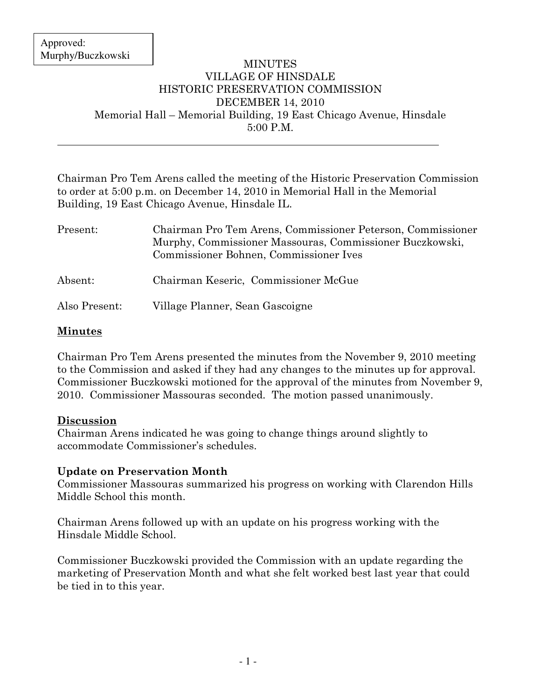$\overline{a}$ 

#### MINUTES VILLAGE OF HINSDALE HISTORIC PRESERVATION COMMISSION DECEMBER 14, 2010 Memorial Hall – Memorial Building, 19 East Chicago Avenue, Hinsdale 5:00 P.M.

Chairman Pro Tem Arens called the meeting of the Historic Preservation Commission to order at 5:00 p.m. on December 14, 2010 in Memorial Hall in the Memorial Building, 19 East Chicago Avenue, Hinsdale IL.

| Present:      | Chairman Pro Tem Arens, Commissioner Peterson, Commissioner<br>Murphy, Commissioner Massouras, Commissioner Buczkowski,<br>Commissioner Bohnen, Commissioner Ives |
|---------------|-------------------------------------------------------------------------------------------------------------------------------------------------------------------|
| Absent:       | Chairman Keseric, Commissioner McGue                                                                                                                              |
| Also Present: | Village Planner, Sean Gascoigne                                                                                                                                   |

## **Minutes**

Chairman Pro Tem Arens presented the minutes from the November 9, 2010 meeting to the Commission and asked if they had any changes to the minutes up for approval. Commissioner Buczkowski motioned for the approval of the minutes from November 9, 2010. Commissioner Massouras seconded. The motion passed unanimously.

### Discussion

Chairman Arens indicated he was going to change things around slightly to accommodate Commissioner's schedules.

### Update on Preservation Month

Commissioner Massouras summarized his progress on working with Clarendon Hills Middle School this month.

Chairman Arens followed up with an update on his progress working with the Hinsdale Middle School.

Commissioner Buczkowski provided the Commission with an update regarding the marketing of Preservation Month and what she felt worked best last year that could be tied in to this year.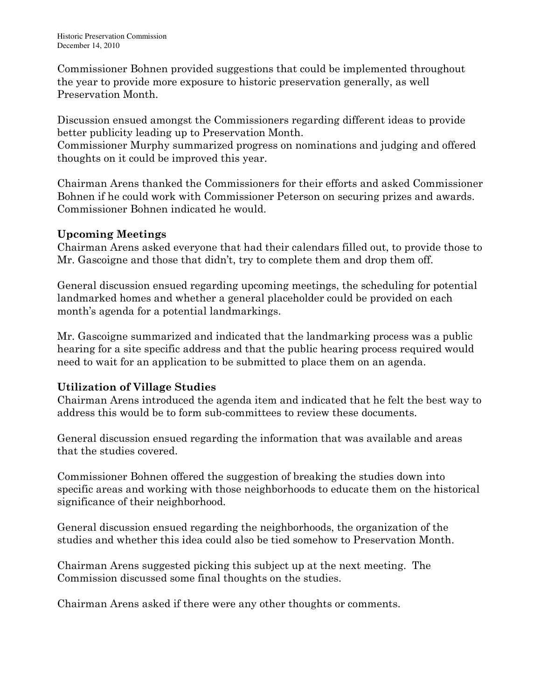Commissioner Bohnen provided suggestions that could be implemented throughout the year to provide more exposure to historic preservation generally, as well Preservation Month.

Discussion ensued amongst the Commissioners regarding different ideas to provide better publicity leading up to Preservation Month.

Commissioner Murphy summarized progress on nominations and judging and offered thoughts on it could be improved this year.

Chairman Arens thanked the Commissioners for their efforts and asked Commissioner Bohnen if he could work with Commissioner Peterson on securing prizes and awards. Commissioner Bohnen indicated he would.

## Upcoming Meetings

Chairman Arens asked everyone that had their calendars filled out, to provide those to Mr. Gascoigne and those that didn't, try to complete them and drop them off.

General discussion ensued regarding upcoming meetings, the scheduling for potential landmarked homes and whether a general placeholder could be provided on each month's agenda for a potential landmarkings.

Mr. Gascoigne summarized and indicated that the landmarking process was a public hearing for a site specific address and that the public hearing process required would need to wait for an application to be submitted to place them on an agenda.

# Utilization of Village Studies

Chairman Arens introduced the agenda item and indicated that he felt the best way to address this would be to form sub-committees to review these documents.

General discussion ensued regarding the information that was available and areas that the studies covered.

Commissioner Bohnen offered the suggestion of breaking the studies down into specific areas and working with those neighborhoods to educate them on the historical significance of their neighborhood.

General discussion ensued regarding the neighborhoods, the organization of the studies and whether this idea could also be tied somehow to Preservation Month.

Chairman Arens suggested picking this subject up at the next meeting. The Commission discussed some final thoughts on the studies.

Chairman Arens asked if there were any other thoughts or comments.